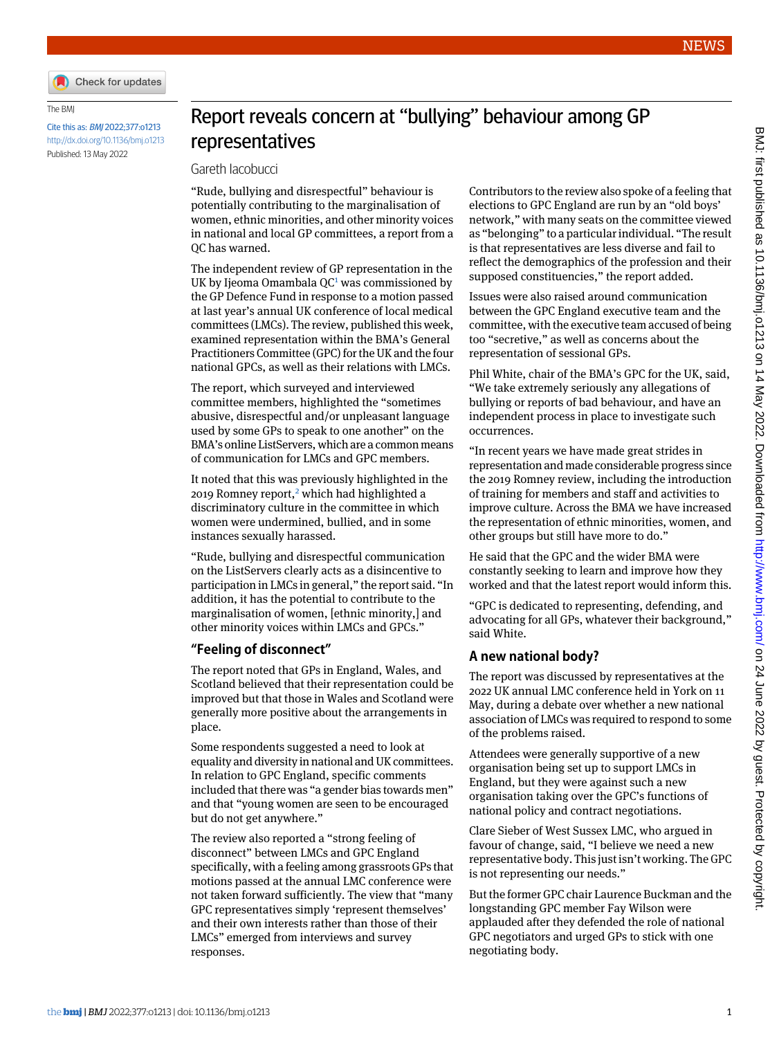

The BMJ

Cite this as: BMJ 2022;377:o1213 <http://dx.doi.org/10.1136/bmj.o1213> Published: 13 May 2022

## Report reveals concern at "bullying" behaviour among GP representatives

Gareth Iacobucci

"Rude, bullying and disrespectful" behaviour is potentially contributing to the marginalisation of women, ethnic minorities, and other minority voices in national and local GP committees, a report from a QC has warned.

The independent review of GP representation in the UK by Ijeoma Omambala  $QC<sup>1</sup>$  $QC<sup>1</sup>$  $QC<sup>1</sup>$  was commissioned by the GP Defence Fund in response to a motion passed at last year's annual UK conference of local medical committees (LMCs). The review, published this week, examined representation within the BMA's General Practitioners Committee (GPC) for the UK and the four national GPCs, as well as their relations with LMCs.

The report, which surveyed and interviewed committee members, highlighted the "sometimes abusive, disrespectful and/or unpleasant language used by some GPs to speak to one another" on the BMA's online ListServers, which are a common means of communication for LMCs and GPC members.

It noted that this was previously highlighted in the [2](#page-1-1)019 Romney report,<sup>2</sup> which had highlighted a discriminatory culture in the committee in which women were undermined, bullied, and in some instances sexually harassed.

"Rude, bullying and disrespectful communication on the ListServers clearly acts as a disincentive to participation in LMCs in general," the report said. "In addition, it has the potential to contribute to the marginalisation of women, [ethnic minority,] and other minority voices within LMCs and GPCs."

## **"Feeling of disconnect"**

The report noted that GPs in England, Wales, and Scotland believed that their representation could be improved but that those in Wales and Scotland were generally more positive about the arrangements in place.

Some respondents suggested a need to look at equality and diversity in national and UK committees. In relation to GPC England, specific comments included that there was "a gender bias towards men" and that "young women are seen to be encouraged but do not get anywhere."

The review also reported a "strong feeling of disconnect" between LMCs and GPC England specifically, with a feeling among grassroots GPs that motions passed at the annual LMC conference were not taken forward sufficiently. The view that "many GPC representatives simply 'represent themselves' and their own interests rather than those of their LMCs" emerged from interviews and survey responses.

Contributors to the review also spoke of a feeling that elections to GPC England are run by an "old boys' network," with many seats on the committee viewed as "belonging" to a particular individual. "The result is that representatives are less diverse and fail to reflect the demographics of the profession and their supposed constituencies," the report added.

Issues were also raised around communication between the GPC England executive team and the committee, with the executive team accused of being too "secretive," as well as concerns about the representation of sessional GPs.

Phil White, chair of the BMA's GPC for the UK, said, "We take extremely seriously any allegations of bullying or reports of bad behaviour, and have an independent process in place to investigate such occurrences.

"In recent years we have made great strides in representation and made considerable progress since the 2019 Romney review, including the introduction of training for members and staff and activities to improve culture. Across the BMA we have increased the representation of ethnic minorities, women, and other groups but still have more to do."

He said that the GPC and the wider BMA were constantly seeking to learn and improve how they worked and that the latest report would inform this.

"GPC is dedicated to representing, defending, and advocating for all GPs, whatever their background," said White.

## **A new national body?**

The report was discussed by representatives at the 2022 UK annual LMC conference held in York on 11 May, during a debate over whether a new national association of LMCs was required to respond to some of the problems raised.

Attendees were generally supportive of a new organisation being set up to support LMCs in England, but they were against such a new organisation taking over the GPC's functions of national policy and contract negotiations.

Clare Sieber of West Sussex LMC, who argued in favour of change, said, "I believe we need a new representative body. This just isn't working. The GPC is not representing our needs."

But the former GPC chair Laurence Buckman and the longstanding GPC member Fay Wilson were applauded after they defended the role of national GPC negotiators and urged GPs to stick with one negotiating body.